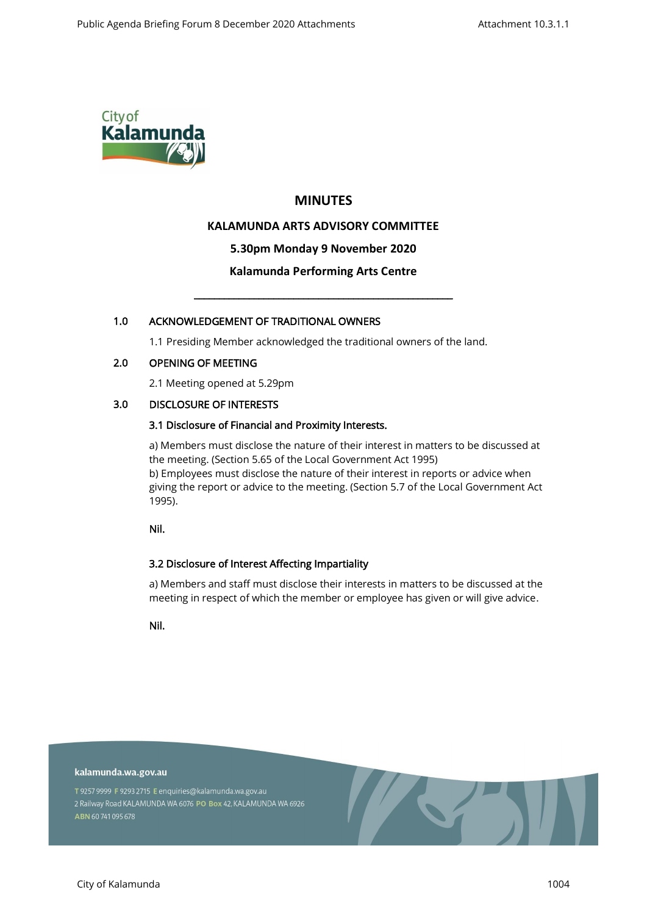

# **MINUTES**

# **KALAMUNDA ARTS ADVISORY COMMITTEE**

# **5.30pm Monday 9 November 2020**

# **Kalamunda Performing Arts Centre**

\_\_\_\_\_\_\_\_\_\_\_\_\_\_\_\_\_\_\_\_\_\_\_\_\_\_\_\_\_\_\_\_\_\_\_\_\_\_\_\_\_\_\_\_\_\_\_\_\_\_\_\_

# 1.0 ACKNOWLEDGEMENT OF TRADITIONAL OWNERS

1.1 Presiding Member acknowledged the traditional owners of the land.

#### 2.0 OPENING OF MEETING

2.1 Meeting opened at 5.29pm

# 3.0 DISCLOSURE OF INTERESTS

# 3.1 Disclosure of Financial and Proximity Interests.

a) Members must disclose the nature of their interest in matters to be discussed at the meeting. (Section 5.65 of the Local Government Act 1995) b) Employees must disclose the nature of their interest in reports or advice when giving the report or advice to the meeting. (Section 5.7 of the Local Government Act 1995).

Nil.

# 3.2 Disclosure of Interest Affecting Impartiality

a) Members and staff must disclose their interests in matters to be discussed at the meeting in respect of which the member or employee has given or will give advice.

Nil.

kalamunda.wa.gov.au

T 9257 9999 F 9293 2715 E enquiries@kalamunda.wa.gov.au 2 Railway Road KALAMUNDA WA 6076 PO Box 42, KALAMUNDA WA 6926 ABN 60741095678

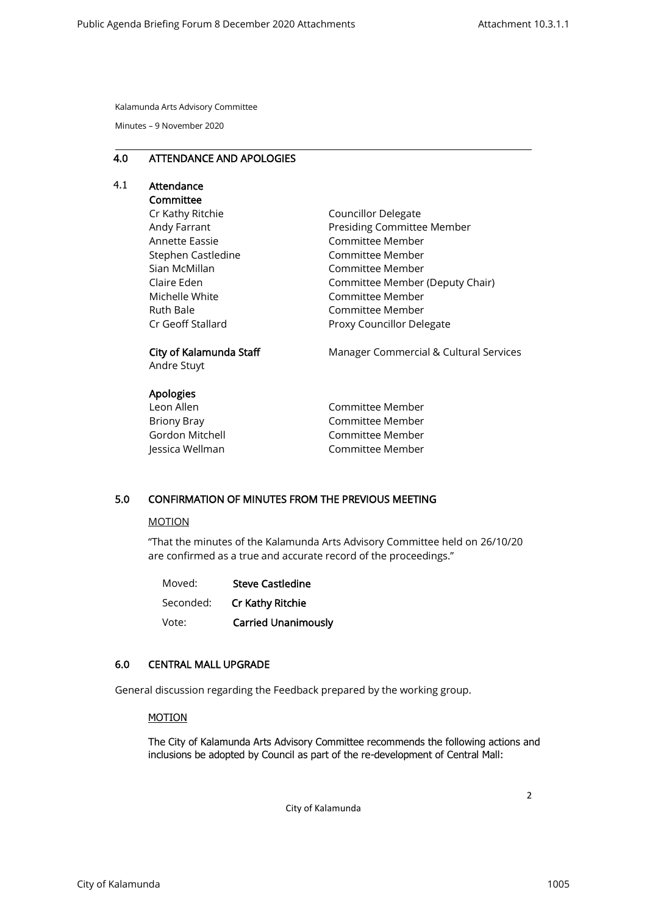Kalamunda Arts Advisory Committee

Minutes – 9 November 2020

#### 4.0 ATTENDANCE AND APOLOGIES

# 4.1 Attendance

# Committee

Cr Kathy Ritchie Andy Farrant Annette Eassie Stephen Castledine Sian McMillan Claire Eden Michelle White Ruth Bale Cr Geoff Stallard

Councillor Delegate Presiding Committee Member Committee Member Committee Member Committee Member Committee Member (Deputy Chair) Committee Member Committee Member Proxy Councillor Delegate

# City of Kalamunda Staff

Andre Stuyt

# Apologies

| Leon Allen      |
|-----------------|
| Briony Bray     |
| Gordon Mitchell |
| Jessica Wellman |

Manager Commercial & Cultural Services

Committee Member Committee Member Committee Member Committee Member

# 5.0 CONFIRMATION OF MINUTES FROM THE PREVIOUS MEETING

#### MOTION

"That the minutes of the Kalamunda Arts Advisory Committee held on 26/10/20 are confirmed as a true and accurate record of the proceedings."

| Moved:    | <b>Steve Castledine</b>    |  |
|-----------|----------------------------|--|
| Seconded: | Cr Kathy Ritchie           |  |
| Vote:     | <b>Carried Unanimously</b> |  |

# 6.0 CENTRAL MALL UPGRADE

General discussion regarding the Feedback prepared by the working group.

#### MOTION

The City of Kalamunda Arts Advisory Committee recommends the following actions and inclusions be adopted by Council as part of the re-development of Central Mall:

City of Kalamunda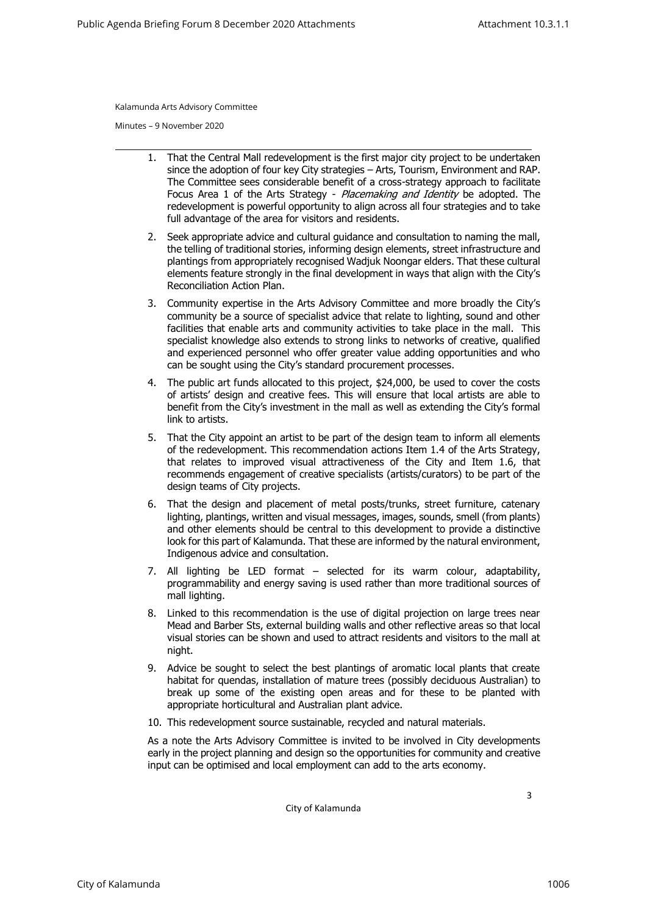Kalamunda Arts Advisory Committee

Minutes – 9 November 2020

- 1. That the Central Mall redevelopment is the first major city project to be undertaken since the adoption of four key City strategies – Arts, Tourism, Environment and RAP. The Committee sees considerable benefit of a cross-strategy approach to facilitate Focus Area 1 of the Arts Strategy - Placemaking and Identity be adopted. The redevelopment is powerful opportunity to align across all four strategies and to take full advantage of the area for visitors and residents.
- 2. Seek appropriate advice and cultural guidance and consultation to naming the mall, the telling of traditional stories, informing design elements, street infrastructure and plantings from appropriately recognised Wadjuk Noongar elders. That these cultural elements feature strongly in the final development in ways that align with the City's Reconciliation Action Plan.
- 3. Community expertise in the Arts Advisory Committee and more broadly the City's community be a source of specialist advice that relate to lighting, sound and other facilities that enable arts and community activities to take place in the mall. This specialist knowledge also extends to strong links to networks of creative, qualified and experienced personnel who offer greater value adding opportunities and who can be sought using the City's standard procurement processes.
- 4. The public art funds allocated to this project, \$24,000, be used to cover the costs of artists' design and creative fees. This will ensure that local artists are able to benefit from the City's investment in the mall as well as extending the City's formal link to artists.
- 5. That the City appoint an artist to be part of the design team to inform all elements of the redevelopment. This recommendation actions Item 1.4 of the Arts Strategy, that relates to improved visual attractiveness of the City and Item 1.6, that recommends engagement of creative specialists (artists/curators) to be part of the design teams of City projects.
- 6. That the design and placement of metal posts/trunks, street furniture, catenary lighting, plantings, written and visual messages, images, sounds, smell (from plants) and other elements should be central to this development to provide a distinctive look for this part of Kalamunda. That these are informed by the natural environment, Indigenous advice and consultation.
- 7. All lighting be LED format selected for its warm colour, adaptability, programmability and energy saving is used rather than more traditional sources of mall lighting.
- 8. Linked to this recommendation is the use of digital projection on large trees near Mead and Barber Sts, external building walls and other reflective areas so that local visual stories can be shown and used to attract residents and visitors to the mall at night.
- 9. Advice be sought to select the best plantings of aromatic local plants that create habitat for quendas, installation of mature trees (possibly deciduous Australian) to break up some of the existing open areas and for these to be planted with appropriate horticultural and Australian plant advice.
- 10. This redevelopment source sustainable, recycled and natural materials.

As a note the Arts Advisory Committee is invited to be involved in City developments early in the project planning and design so the opportunities for community and creative input can be optimised and local employment can add to the arts economy.

City of Kalamunda

3